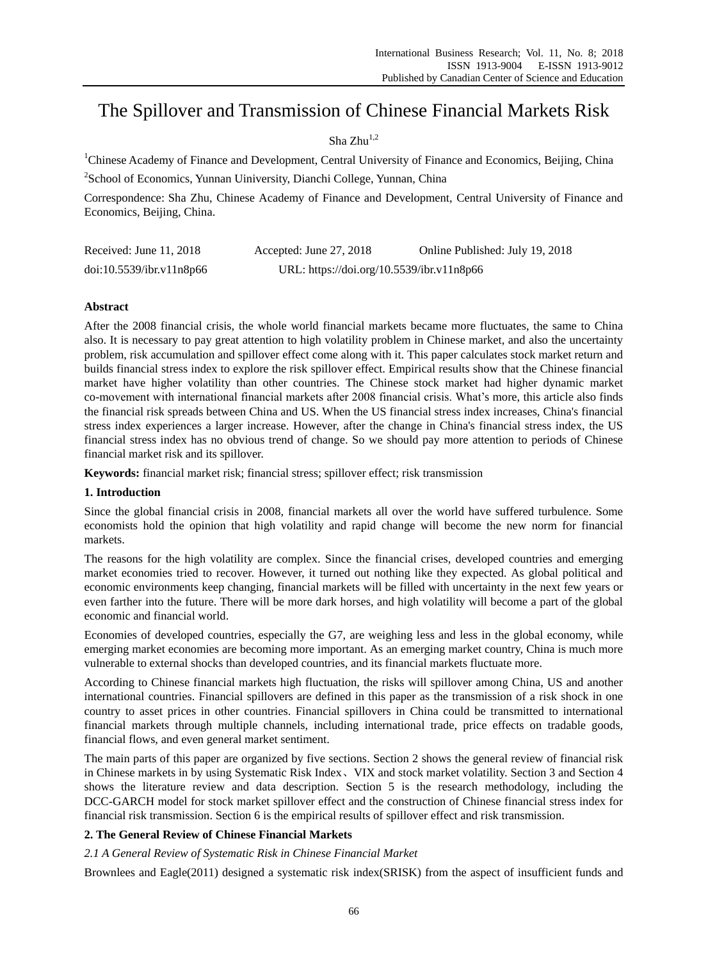# The Spillover and Transmission of Chinese Financial Markets Risk

# Sha  $Zhu^{1,2}$

<sup>1</sup>Chinese Academy of Finance and Development, Central University of Finance and Economics, Beijing, China

<sup>2</sup>School of Economics, Yunnan Uiniversity, Dianchi College, Yunnan, China

Correspondence: Sha Zhu, Chinese Academy of Finance and Development, Central University of Finance and Economics, Beijing, China.

| Received: June $11, 2018$ | Accepted: June 27, 2018                   | Online Published: July 19, 2018 |
|---------------------------|-------------------------------------------|---------------------------------|
| doi:10.5539/ibr.v11n8p66  | URL: https://doi.org/10.5539/ibr.v11n8p66 |                                 |

# **Abstract**

After the 2008 financial crisis, the whole world financial markets became more fluctuates, the same to China also. It is necessary to pay great attention to high volatility problem in Chinese market, and also the uncertainty problem, risk accumulation and spillover effect come along with it. This paper calculates stock market return and builds financial stress index to explore the risk spillover effect. Empirical results show that the Chinese financial market have higher volatility than other countries. The Chinese stock market had higher dynamic market co-movement with international financial markets after 2008 financial crisis. What's more, this article also finds the financial risk spreads between China and US. When the US financial stress index increases, China's financial stress index experiences a larger increase. However, after the change in China's financial stress index, the US financial stress index has no obvious trend of change. So we should pay more attention to periods of Chinese financial market risk and its spillover.

**Keywords:** financial market risk; financial stress; spillover effect; risk transmission

# **1. Introduction**

Since the global financial crisis in 2008, financial markets all over the world have suffered turbulence. Some economists hold the opinion that high volatility and rapid change will become the new norm for financial markets.

The reasons for the high volatility are complex. Since the financial crises, developed countries and emerging market economies tried to recover. However, it turned out nothing like they expected. As global political and economic environments keep changing, financial markets will be filled with uncertainty in the next few years or even farther into the future. There will be more dark horses, and high volatility will become a part of the global economic and financial world.

Economies of developed countries, especially the G7, are weighing less and less in the global economy, while emerging market economies are becoming more important. As an emerging market country, China is much more vulnerable to external shocks than developed countries, and its financial markets fluctuate more.

According to Chinese financial markets high fluctuation, the risks will spillover among China, US and another international countries. Financial spillovers are defined in this paper as the transmission of a risk shock in one country to asset prices in other countries. Financial spillovers in China could be transmitted to international financial markets through multiple channels, including international trade, price effects on tradable goods, financial flows, and even general market sentiment.

The main parts of this paper are organized by five sections. Section 2 shows the general review of financial risk in Chinese markets in by using Systematic Risk Index、VIX and stock market volatility. Section 3 and Section 4 shows the literature review and data description. Section 5 is the research methodology, including the DCC-GARCH model for stock market spillover effect and the construction of Chinese financial stress index for financial risk transmission. Section 6 is the empirical results of spillover effect and risk transmission.

# **2. The General Review of Chinese Financial Markets**

# *2.1 A General Review of Systematic Risk in Chinese Financial Market*

Brownlees and Eagle(2011) designed a systematic risk index(SRISK) from the aspect of insufficient funds and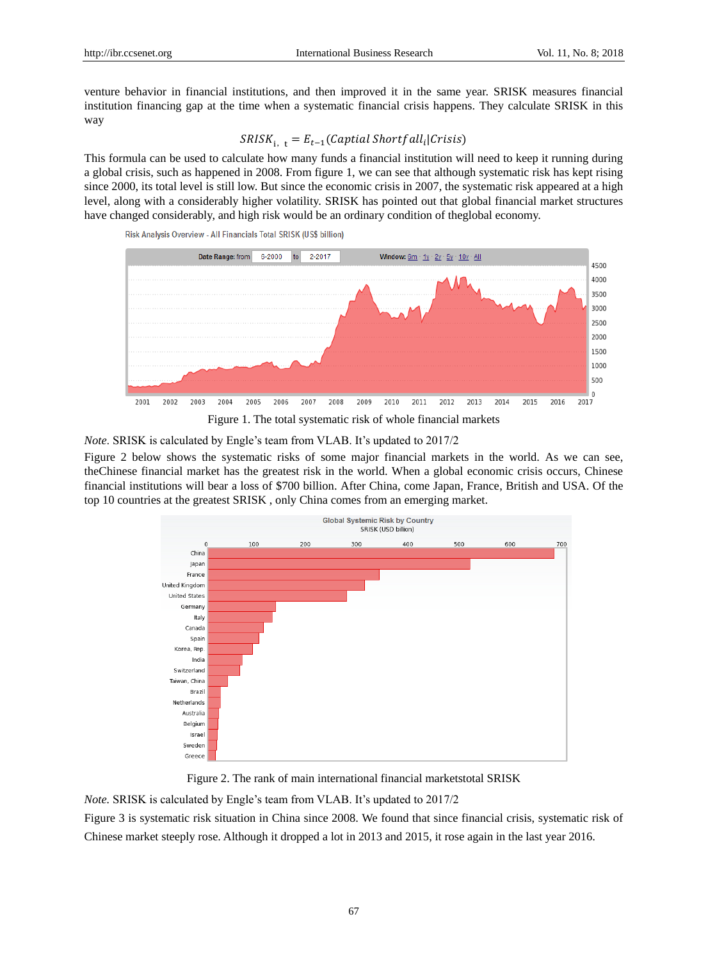venture behavior in financial institutions, and then improved it in the same year. SRISK measures financial institution financing gap at the time when a systematic financial crisis happens. They calculate SRISK in this way

# $SRISK_{i, t} = E_{t-1}( Capital\ Shortfall_{i}|Crisis)$

This formula can be used to calculate how many funds a financial institution will need to keep it running during a global crisis, such as happened in 2008. From figure 1, we can see that although systematic risk has kept rising since 2000, its total level is still low. But since the economic crisis in 2007, the systematic risk appeared at a high level, along with a considerably higher volatility. SRISK has pointed out that global financial market structures have changed considerably, and high risk would be an ordinary condition of theglobal economy.



Risk Analysis Overview - All Financials Total SRISK (US\$ billion)

*Note*. SRISK is calculated by Engle's team from VLAB. It's updated to 2017/2

Figure 2 below shows the systematic risks of some major financial markets in the world. As we can see, theChinese financial market has the greatest risk in the world. When a global economic crisis occurs, Chinese financial institutions will bear a loss of \$700 billion. After China, come Japan, France, British and USA. Of the top 10 countries at the greatest SRISK , only China comes from an emerging market.



Figure 2. The rank of main international financial marketstotal SRISK

*Note.* SRISK is calculated by Engle's team from VLAB. It's updated to 2017/2

Figure 3 is systematic risk situation in China since 2008. We found that since financial crisis, systematic risk of Chinese market steeply rose. Although it dropped a lot in 2013 and 2015, it rose again in the last year 2016.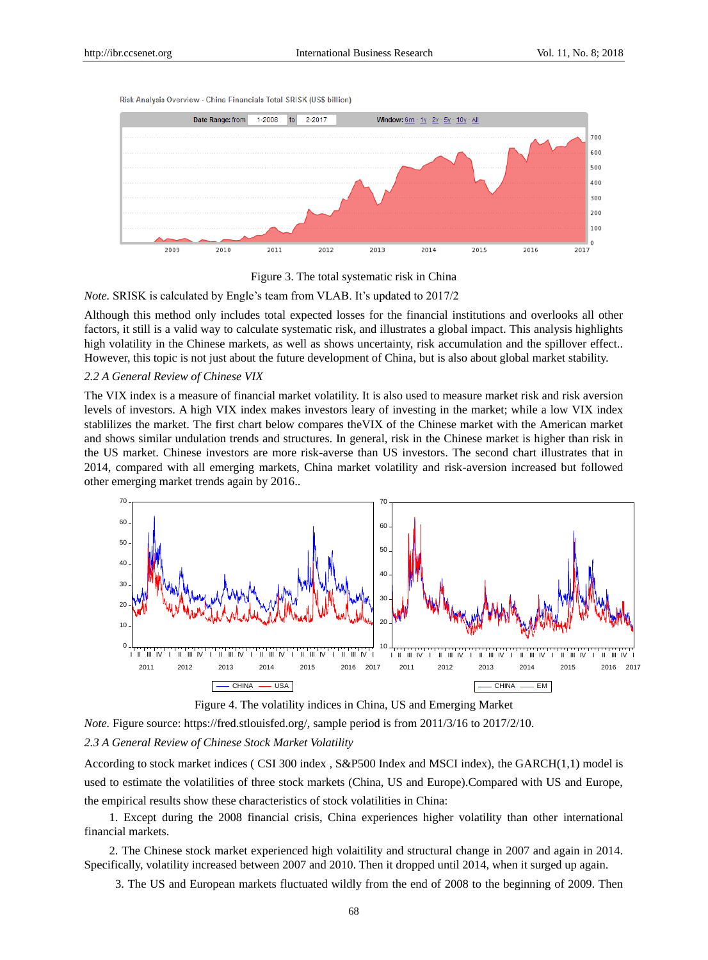Risk Analysis Overview - China Financials Total SRISK (US\$ billion)





#### *Note.* SRISK is calculated by Engle's team from VLAB. It's updated to 2017/2

Although this method only includes total expected losses for the financial institutions and overlooks all other factors, it still is a valid way to calculate systematic risk, and illustrates a global impact. This analysis highlights high volatility in the Chinese markets, as well as shows uncertainty, risk accumulation and the spillover effect.. However, this topic is not just about the future development of China, but is also about global market stability.

#### *2.2 A General Review of Chinese VIX*

The VIX index is a measure of financial market volatility. It is also used to measure market risk and risk aversion levels of investors. A high VIX index makes investors leary of investing in the market; while a low VIX index stablilizes the market. The first chart below compares theVIX of the Chinese market with the American market and shows similar undulation trends and structures. In general, risk in the Chinese market is higher than risk in the US market. Chinese investors are more risk-averse than US investors. The second chart illustrates that in 2014, compared with all emerging markets, China market volatility and risk-aversion increased but followed other emerging market trends again by 2016..



Figure 4. The volatility indices in China, US and Emerging Market

*Note.* Figure source: [https://fred.stlouisfed.org/,](https://fred.stlouisfed.org/) sample period is from 2011/3/16 to 2017/2/10.

#### *2.3 A General Review of Chinese Stock Market Volatility*

According to stock market indices ( CSI 300 index , S&P500 Index and MSCI index), the GARCH(1,1) model is used to estimate the volatilities of three stock markets (China, US and Europe).Compared with US and Europe, the empirical results show these characteristics of stock volatilities in China:

1. Except during the 2008 financial crisis, China experiences higher volatility than other international financial markets.

2. The Chinese stock market experienced high volaitility and structural change in 2007 and again in 2014. Specifically, volatility increased between 2007 and 2010. Then it dropped until 2014, when it surged up again.

3. The US and European markets fluctuated wildly from the end of 2008 to the beginning of 2009. Then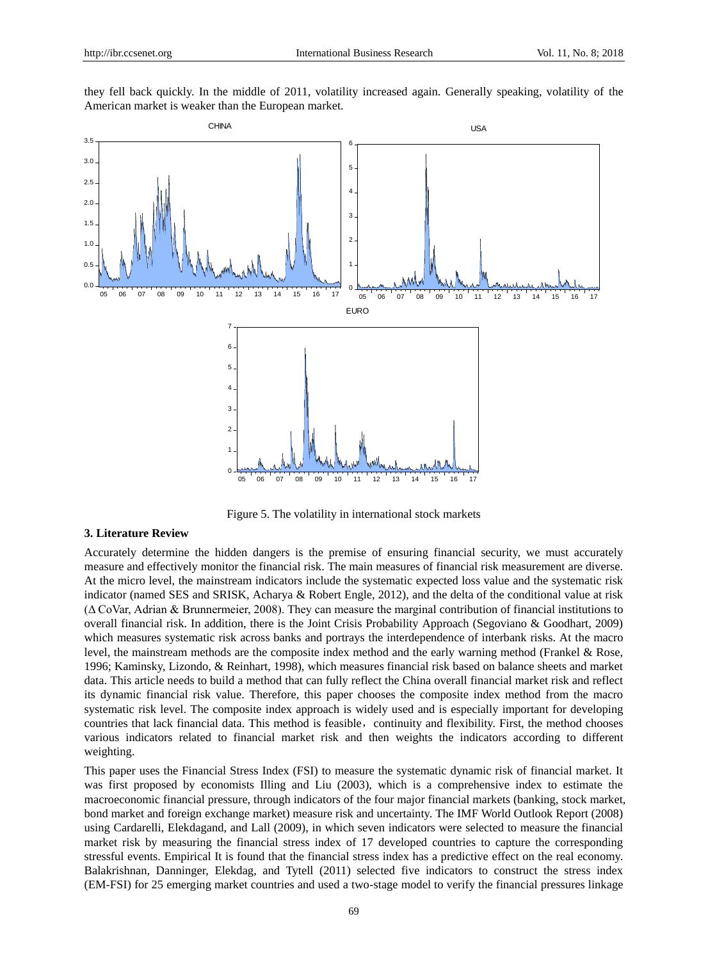they fell back quickly. In the middle of 2011, volatility increased again. Generally speaking, volatility of the American market is weaker than the European market.



Figure 5. The volatility in international stock markets

### **3. Literature Review**

Accurately determine the hidden dangers is the premise of ensuring financial security, we must accurately measure and effectively monitor the financial risk. The main measures of financial risk measurement are diverse. At the micro level, the mainstream indicators include the systematic expected loss value and the systematic risk indicator (named SES and SRISK, Acharya & Robert Engle, 2012), and the delta of the conditional value at risk (Δ CoVar, Adrian & Brunnermeier, 2008). They can measure the marginal contribution of financial institutions to overall financial risk. In addition, there is the Joint Crisis Probability Approach (Segoviano & Goodhart, 2009) which measures systematic risk across banks and portrays the interdependence of interbank risks. At the macro level, the mainstream methods are the composite index method and the early warning method (Frankel & Rose, 1996; Kaminsky, Lizondo, & Reinhart, 1998), which measures financial risk based on balance sheets and market data. This article needs to build a method that can fully reflect the China overall financial market risk and reflect its dynamic financial risk value. Therefore, this paper chooses the composite index method from the macro systematic risk level. The composite index approach is widely used and is especially important for developing countries that lack financial data. This method is feasible, continuity and flexibility. First, the method chooses various indicators related to financial market risk and then weights the indicators according to different weighting.

This paper uses the Financial Stress Index (FSI) to measure the systematic dynamic risk of financial market. It was first proposed by economists Illing and Liu (2003), which is a comprehensive index to estimate the macroeconomic financial pressure, through indicators of the four major financial markets (banking, stock market, bond market and foreign exchange market) measure risk and uncertainty. The IMF World Outlook Report (2008) using Cardarelli, Elekdagand, and Lall (2009), in which seven indicators were selected to measure the financial market risk by measuring the financial stress index of 17 developed countries to capture the corresponding stressful events. Empirical It is found that the financial stress index has a predictive effect on the real economy. Balakrishnan, Danninger, Elekdag, and Tytell (2011) selected five indicators to construct the stress index (EM-FSI) for 25 emerging market countries and used a two-stage model to verify the financial pressures linkage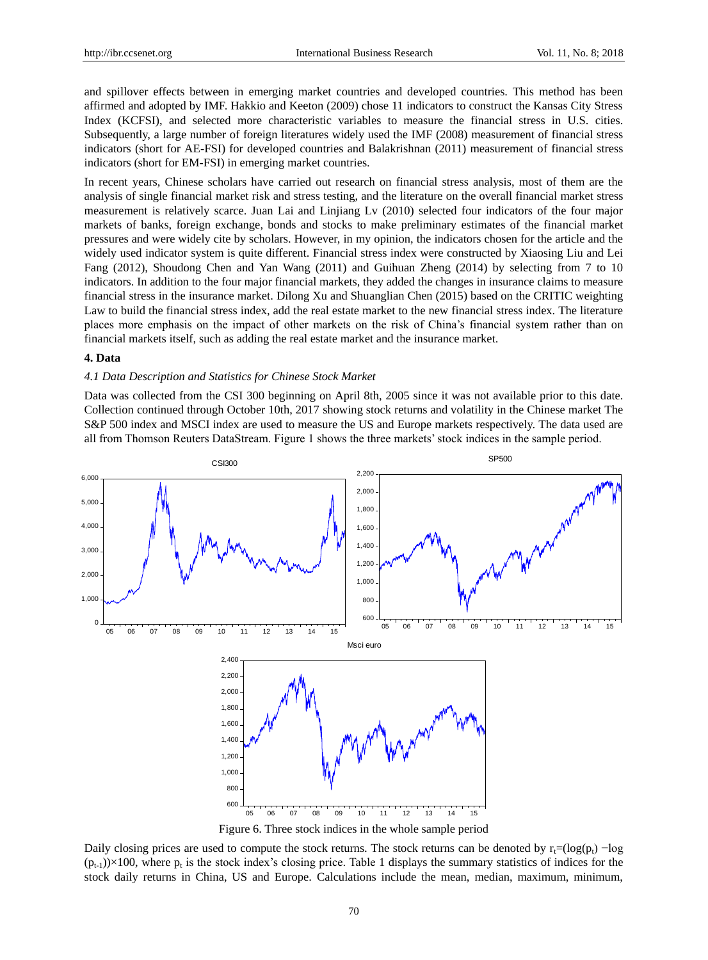and spillover effects between in emerging market countries and developed countries. This method has been affirmed and adopted by IMF. Hakkio and Keeton (2009) chose 11 indicators to construct the Kansas City Stress Index (KCFSI), and selected more characteristic variables to measure the financial stress in U.S. cities. Subsequently, a large number of foreign literatures widely used the IMF (2008) measurement of financial stress indicators (short for AE-FSI) for developed countries and Balakrishnan (2011) measurement of financial stress indicators (short for EM-FSI) in emerging market countries.

In recent years, Chinese scholars have carried out research on financial stress analysis, most of them are the analysis of single financial market risk and stress testing, and the literature on the overall financial market stress measurement is relatively scarce. Juan Lai and Linjiang Lv (2010) selected four indicators of the four major markets of banks, foreign exchange, bonds and stocks to make preliminary estimates of the financial market pressures and were widely cite by scholars. However, in my opinion, the indicators chosen for the article and the widely used indicator system is quite different. Financial stress index were constructed by Xiaosing Liu and Lei Fang (2012), Shoudong Chen and Yan Wang (2011) and Guihuan Zheng (2014) by selecting from 7 to 10 indicators. In addition to the four major financial markets, they added the changes in insurance claims to measure financial stress in the insurance market. Dilong Xu and Shuanglian Chen (2015) based on the CRITIC weighting Law to build the financial stress index, add the real estate market to the new financial stress index. The literature places more emphasis on the impact of other markets on the risk of China's financial system rather than on financial markets itself, such as adding the real estate market and the insurance market.

#### **4. Data**

### *4.1 Data Description and Statistics for Chinese Stock Market*

Data was collected from the CSI 300 beginning on April 8th, 2005 since it was not available prior to this date. Collection continued through October 10th, 2017 showing stock returns and volatility in the Chinese market The S&P 500 index and MSCI index are used to measure the US and Europe markets respectively. The data used are all from Thomson Reuters DataStream. Figure 1 shows the three markets' stock indices in the sample period.



Figure 6. Three stock indices in the whole sample period

Daily closing prices are used to compute the stock returns. The stock returns can be denoted by  $r_t=(\log(p_t)-\log$  $(p_{t-1})\times100$ , where  $p_t$  is the stock index's closing price. Table 1 displays the summary statistics of indices for the stock daily returns in China, US and Europe. Calculations include the mean, median, maximum, minimum,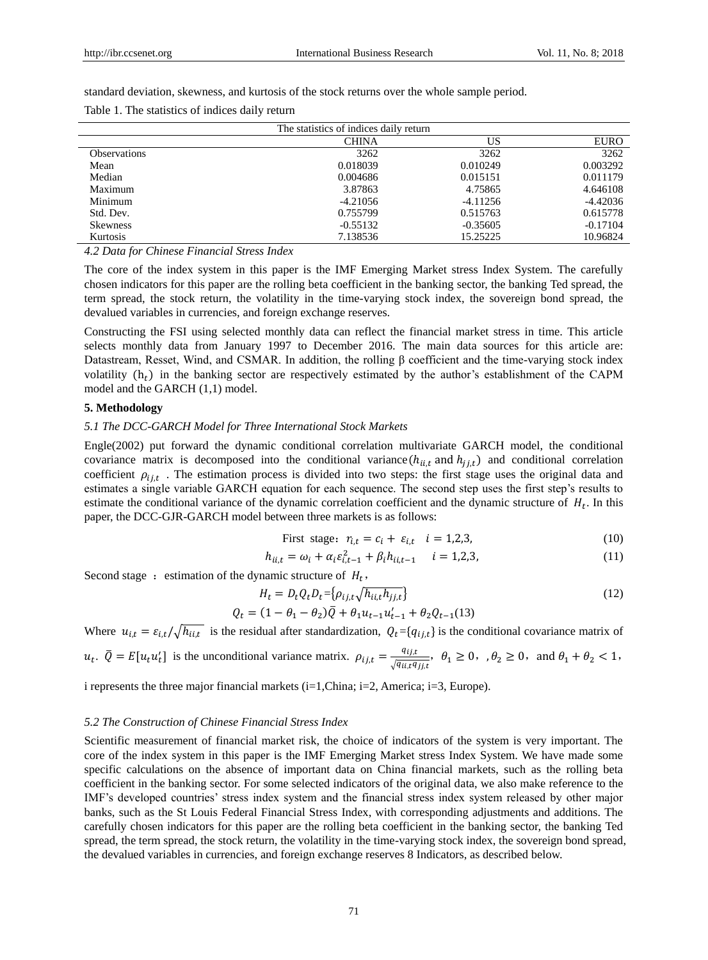standard deviation, skewness, and kurtosis of the stock returns over the whole sample period.

|  |  |  |  |  | Table 1. The statistics of indices daily return |
|--|--|--|--|--|-------------------------------------------------|
|--|--|--|--|--|-------------------------------------------------|

|                     | The statistics of indices daily return |            |             |
|---------------------|----------------------------------------|------------|-------------|
|                     | <b>CHINA</b>                           | US         | <b>EURO</b> |
| <b>Observations</b> | 3262                                   | 3262       | 3262        |
| Mean                | 0.018039                               | 0.010249   | 0.003292    |
| Median              | 0.004686                               | 0.015151   | 0.011179    |
| Maximum             | 3.87863                                | 4.75865    | 4.646108    |
| Minimum             | $-4.21056$                             | $-4.11256$ | $-4.42036$  |
| Std. Dev.           | 0.755799                               | 0.515763   | 0.615778    |
| <b>Skewness</b>     | $-0.55132$                             | $-0.35605$ | $-0.17104$  |
| Kurtosis            | 7.138536                               | 15.25225   | 10.96824    |

*4.2 Data for Chinese Financial Stress Index*

The core of the index system in this paper is the IMF Emerging Market stress Index System. The carefully chosen indicators for this paper are the rolling beta coefficient in the banking sector, the banking Ted spread, the term spread, the stock return, the volatility in the time-varying stock index, the sovereign bond spread, the devalued variables in currencies, and foreign exchange reserves.

Constructing the FSI using selected monthly data can reflect the financial market stress in time. This article selects monthly data from January 1997 to December 2016. The main data sources for this article are: Datastream, Resset, Wind, and CSMAR. In addition, the rolling β coefficient and the time-varying stock index volatility  $(h_t)$  in the banking sector are respectively estimated by the author's establishment of the CAPM model and the GARCH (1,1) model.

### **5. Methodology**

#### *5.1 The DCC-GARCH Model for Three International Stock Markets*

Engle(2002) put forward the dynamic conditional correlation multivariate GARCH model, the conditional covariance matrix is decomposed into the conditional variance( $h_{i,i,t}$  and  $h_{j,i,t}$ ) and conditional correlation coefficient  $\rho_{ij,t}$ . The estimation process is divided into two steps: the first stage uses the original data and estimates a single variable GARCH equation for each sequence. The second step uses the first step's results to estimate the conditional variance of the dynamic correlation coefficient and the dynamic structure of  $H_t$ . In this paper, the DCC-GJR-GARCH model between three markets is as follows:

First stage: 
$$
r_{i,t} = c_i + \varepsilon_{i,t} \quad i = 1,2,3,
$$
 (10)

$$
h_{ii,t} = \omega_i + \alpha_i \varepsilon_{i,t-1}^2 + \beta_i h_{ii,t-1} \quad i = 1,2,3,
$$
\n(11)

Second stage: estimation of the dynamic structure of  $H_t$ ,

$$
H_t = D_t Q_t D_t = \left\{ \rho_{ij,t} \sqrt{h_{ii,t} h_{jj,t}} \right\}
$$
  
\n
$$
Q_t = (1 - \theta_1 - \theta_2) \overline{Q} + \theta_1 u_{t-1} u_{t-1}^t + \theta_2 Q_{t-1}(13)
$$
\n(12)

Where  $u_{i,t} = \varepsilon_{i,t}/\sqrt{h_{ii,t}}$  is the residual after standardization,  $Q_t = \{q_{ij,t}\}\$ is the conditional covariance matrix of

 $u_t$ .  $\overline{Q} = E[u_t u_t']$  is the unconditional variance matrix.  $\rho_{ij,t} = \frac{q_{ij,t}}{\sqrt{q_{ij,t}q_{ij,t}}}$  $\frac{q_{ij,t}}{\sqrt{q_{ii,t}q_{jj,t}}}, \theta_1 \ge 0, \theta_2 \ge 0, \text{ and } \theta_1 + \theta_2 < 1,$ 

i represents the three major financial markets (i=1,China; i=2, America; i=3, Europe).

#### *5.2 The Construction of Chinese Financial Stress Index*

Scientific measurement of financial market risk, the choice of indicators of the system is very important. The core of the index system in this paper is the IMF Emerging Market stress Index System. We have made some specific calculations on the absence of important data on China financial markets, such as the rolling beta coefficient in the banking sector. For some selected indicators of the original data, we also make reference to the IMF's developed countries' stress index system and the financial stress index system released by other major banks, such as the St Louis Federal Financial Stress Index, with corresponding adjustments and additions. The carefully chosen indicators for this paper are the rolling beta coefficient in the banking sector, the banking Ted spread, the term spread, the stock return, the volatility in the time-varying stock index, the sovereign bond spread, the devalued variables in currencies, and foreign exchange reserves 8 Indicators, as described below.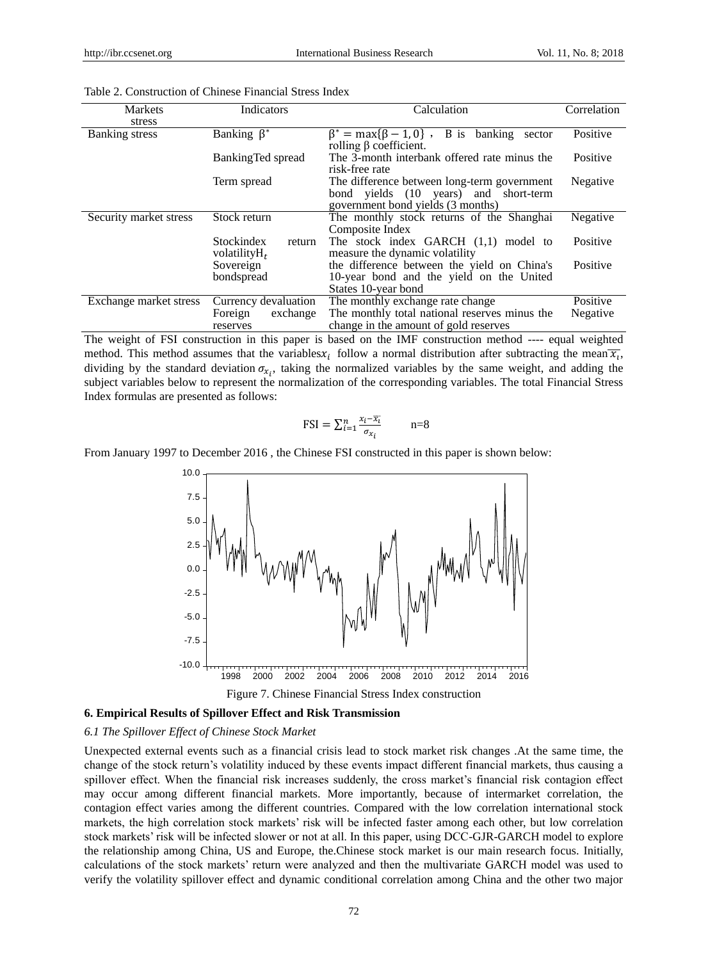| <b>Markets</b>         | Indicators                                      | Calculation                                                                                    | Correlation |
|------------------------|-------------------------------------------------|------------------------------------------------------------------------------------------------|-------------|
| stress                 |                                                 |                                                                                                |             |
| Banking stress         | Banking $\beta^*$                               | $\beta^* = \max{\{\beta - 1, 0\}}$ , B is<br>banking<br>sector<br>rolling $\beta$ coefficient. | Positive    |
|                        | BankingTed spread                               | The 3-month interbank offered rate minus the<br>risk-free rate                                 | Positive    |
|                        | Term spread                                     | The difference between long-term government                                                    | Negative    |
|                        |                                                 | bond yields (10 years) and short-term<br>government bond yields (3 months)                     |             |
| Security market stress | Stock return                                    | The monthly stock returns of the Shanghai                                                      | Negative    |
|                        |                                                 | Composite Index                                                                                |             |
|                        | <b>Stockindex</b><br>return<br>volatility $H_t$ | The stock index GARCH (1,1) model to<br>measure the dynamic volatility                         | Positive    |
|                        | Sovereign                                       | the difference between the yield on China's                                                    | Positive    |
|                        | bondspread                                      | 10-year bond and the yield on the United                                                       |             |
|                        |                                                 | States 10-year bond                                                                            |             |
| Exchange market stress | Currency devaluation                            | The monthly exchange rate change                                                               | Positive    |
|                        | exchange<br>Foreign                             | The monthly total national reserves minus the                                                  | Negative    |
|                        | reserves                                        | change in the amount of gold reserves                                                          |             |

| Table 2. Construction of Chinese Financial Stress Index |
|---------------------------------------------------------|
|---------------------------------------------------------|

The weight of FSI construction in this paper is based on the IMF construction method ---- equal weighted method. This method assumes that the variables  $x_i$  follow a normal distribution after subtracting the mean  $\overline{x_i}$ , dividing by the standard deviation  $\sigma_{x_i}$ , taking the normalized variables by the same weight, and adding the subject variables below to represent the normalization of the corresponding variables. The total Financial Stress Index formulas are presented as follows:

$$
\text{FSI} = \sum_{i=1}^{n} \frac{x_i - \overline{x_i}}{\sigma_{x_i}} \qquad \qquad \text{n=8}
$$

From January 1997 to December 2016 , the Chinese FSI constructed in this paper is shown below:



Figure 7. Chinese Financial Stress Index construction

#### **6. Empirical Results of Spillover Effect and Risk Transmission**

#### *6.1 The Spillover Effect of Chinese Stock Market*

Unexpected external events such as a financial crisis lead to stock market risk changes .At the same time, the change of the stock return's volatility induced by these events impact different financial markets, thus causing a spillover effect. When the financial risk increases suddenly, the cross market's financial risk contagion effect may occur among different financial markets. More importantly, because of intermarket correlation, the contagion effect varies among the different countries. Compared with the low correlation international stock markets, the high correlation stock markets' risk will be infected faster among each other, but low correlation stock markets' risk will be infected slower or not at all. In this paper, using DCC-GJR-GARCH model to explore the relationship among China, US and Europe, the.Chinese stock market is our main research focus. Initially, calculations of the stock markets' return were analyzed and then the multivariate GARCH model was used to verify the volatility spillover effect and dynamic conditional correlation among China and the other two major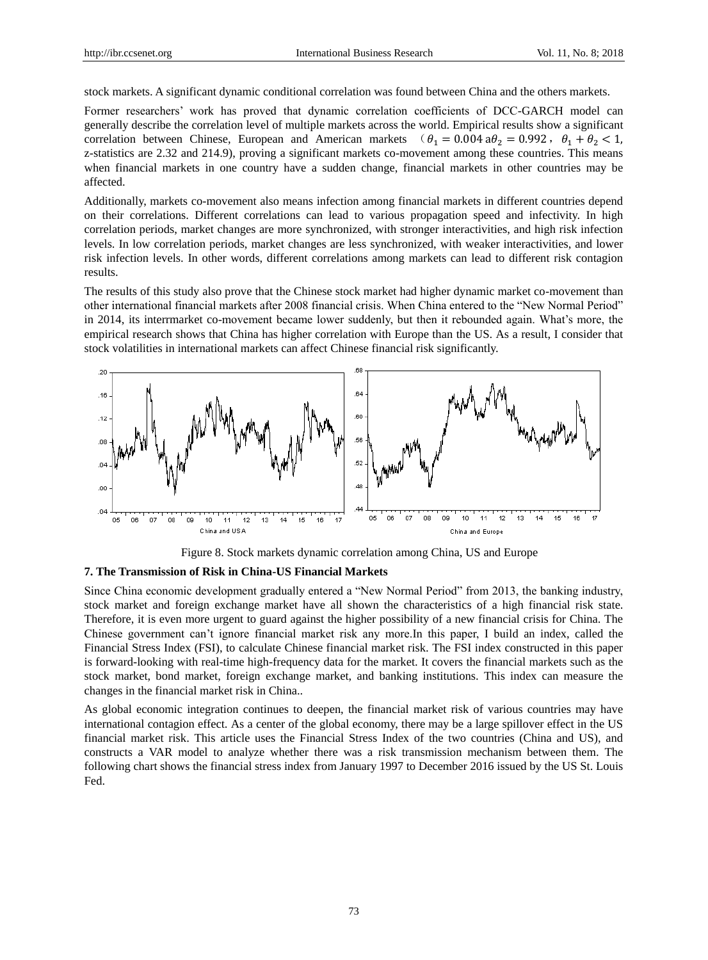stock markets. A significant dynamic conditional correlation was found between China and the others markets.

Former researchers' work has proved that dynamic correlation coefficients of DCC-GARCH model can generally describe the correlation level of multiple markets across the world. Empirical results show a significant correlation between Chinese, European and American markets ( $\theta_1 = 0.004$  a $\theta_2 = 0.992$ ,  $\theta_1 + \theta_2 < 1$ , z-statistics are 2.32 and 214.9), proving a significant markets co-movement among these countries. This means when financial markets in one country have a sudden change, financial markets in other countries may be affected.

Additionally, markets co-movement also means infection among financial markets in different countries depend on their correlations. Different correlations can lead to various propagation speed and infectivity. In high correlation periods, market changes are more synchronized, with stronger interactivities, and high risk infection levels. In low correlation periods, market changes are less synchronized, with weaker interactivities, and lower risk infection levels. In other words, different correlations among markets can lead to different risk contagion results.

The results of this study also prove that the Chinese stock market had higher dynamic market co-movement than other international financial markets after 2008 financial crisis. When China entered to the "New Normal Period" in 2014, its interrmarket co-movement became lower suddenly, but then it rebounded again. What's more, the empirical research shows that China has higher correlation with Europe than the US. As a result, I consider that stock volatilities in international markets can affect Chinese financial risk significantly.





#### **7. The Transmission of Risk in China-US Financial Markets**

Since China economic development gradually entered a "New Normal Period" from 2013, the banking industry, stock market and foreign exchange market have all shown the characteristics of a high financial risk state. Therefore, it is even more urgent to guard against the higher possibility of a new financial crisis for China. The Chinese government can't ignore financial market risk any more.In this paper, I build an index, called the Financial Stress Index (FSI), to calculate Chinese financial market risk. The FSI index constructed in this paper is forward-looking with real-time high-frequency data for the market. It covers the financial markets such as the stock market, bond market, foreign exchange market, and banking institutions. This index can measure the changes in the financial market risk in China..

As global economic integration continues to deepen, the financial market risk of various countries may have international contagion effect. As a center of the global economy, there may be a large spillover effect in the US financial market risk. This article uses the Financial Stress Index of the two countries (China and US), and constructs a VAR model to analyze whether there was a risk transmission mechanism between them. The following chart shows the financial stress index from January 1997 to December 2016 issued by the US St. Louis Fed.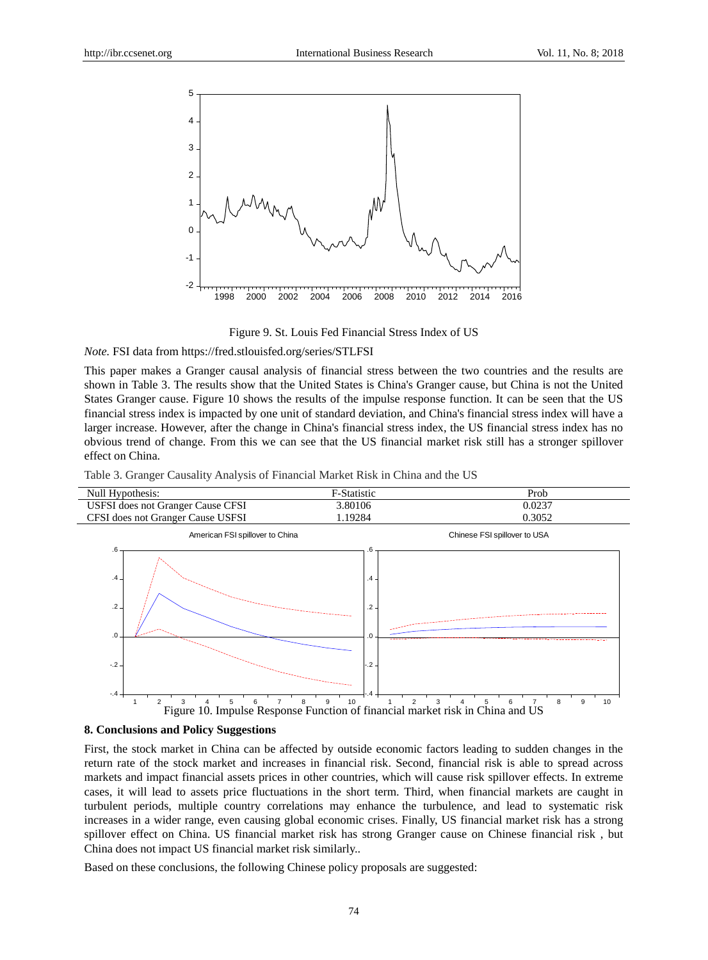

Figure 9. St. Louis Fed Financial Stress Index of US

*Note.* FSI data from<https://fred.stlouisfed.org/series/STLFSI>

This paper makes a Granger causal analysis of financial stress between the two countries and the results are shown in Table 3. The results show that the United States is China's Granger cause, but China is not the United States Granger cause. Figure 10 shows the results of the impulse response function. It can be seen that the US financial stress index is impacted by one unit of standard deviation, and China's financial stress index will have a larger increase. However, after the change in China's financial stress index, the US financial stress index has no obvious trend of change. From this we can see that the US financial market risk still has a stronger spillover effect on China.

Table 3. Granger Causality Analysis of Financial Market Risk in China and the US



#### **8. Conclusions and Policy Suggestions**

First, the stock market in China can be affected by outside economic factors leading to sudden changes in the return rate of the stock market and increases in financial risk. Second, financial risk is able to spread across markets and impact financial assets prices in other countries, which will cause risk spillover effects. In extreme cases, it will lead to assets price fluctuations in the short term. Third, when financial markets are caught in turbulent periods, multiple country correlations may enhance the turbulence, and lead to systematic risk increases in a wider range, even causing global economic crises. Finally, US financial market risk has a strong spillover effect on China. US financial market risk has strong Granger cause on Chinese financial risk , but China does not impact US financial market risk similarly..

Based on these conclusions, the following Chinese policy proposals are suggested: